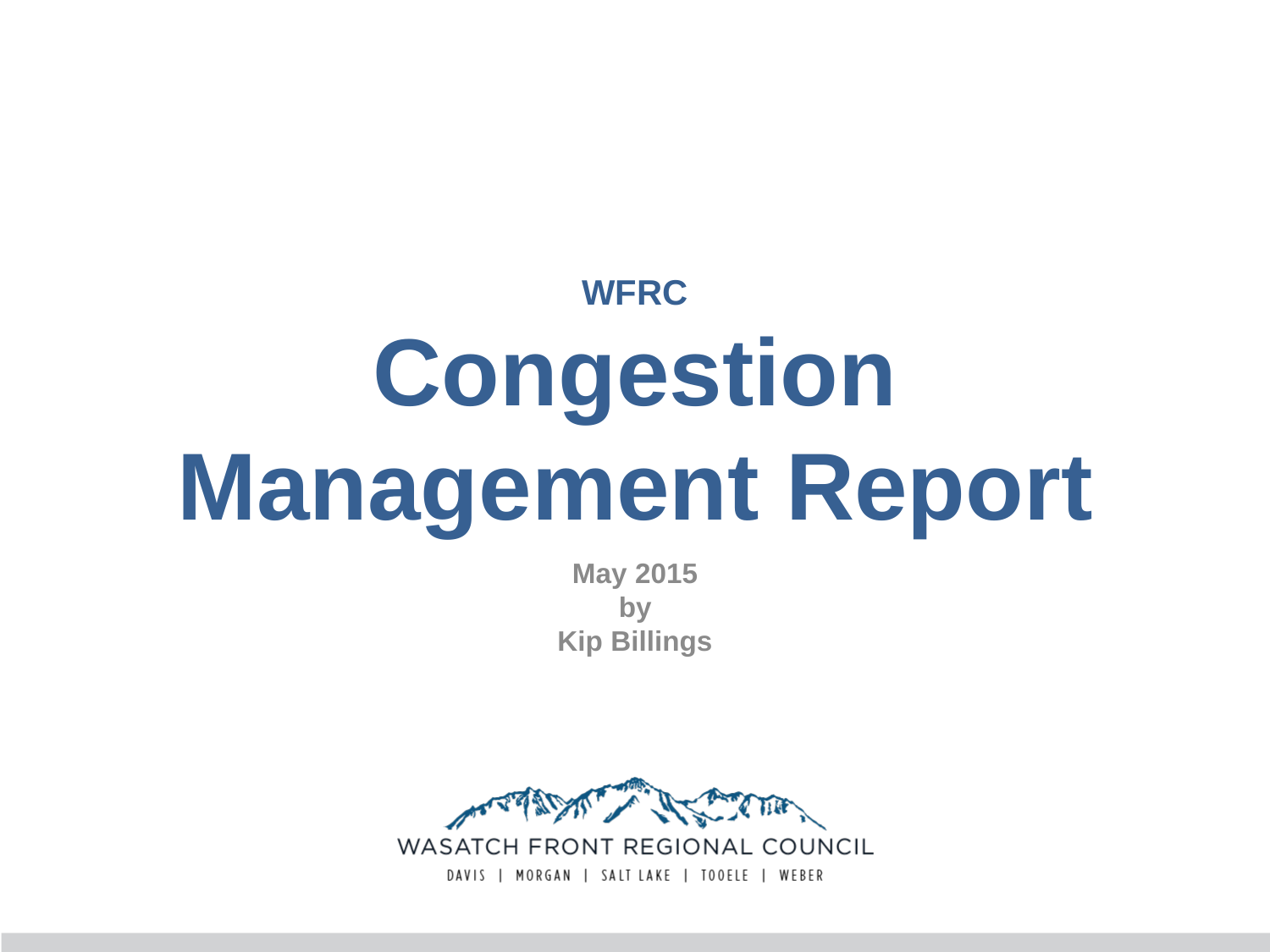# **WFRC Congestion Management Report**

**May 2015 by Kip Billings**



WASATCH FRONT REGIONAL COUNCIL DAVIS | MORGAN | SALT LAKE | TOOELE | WEBER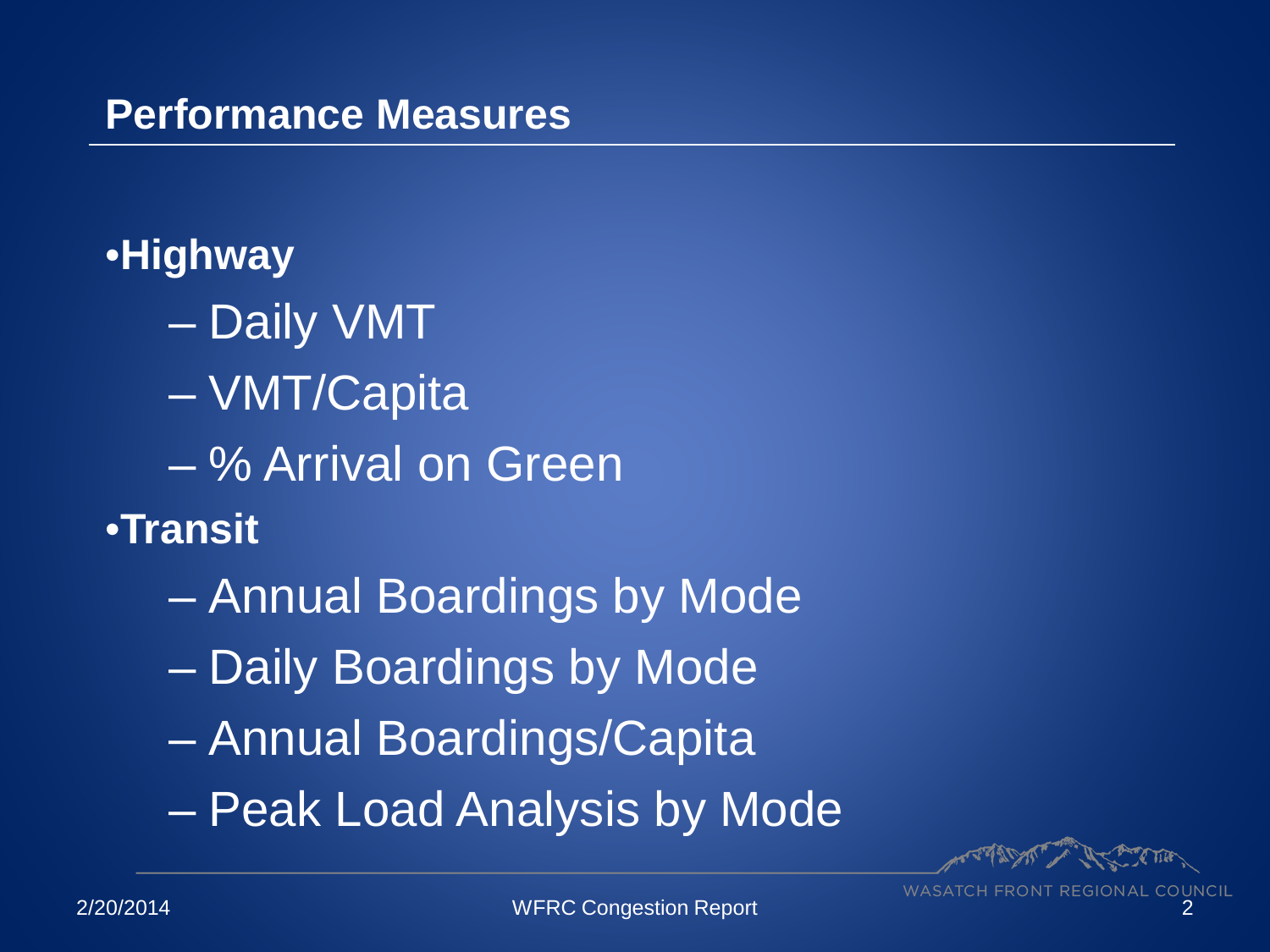#### **Performance Measures**

### •**Highway**

- Daily VMT
- VMT/Capita
- % Arrival on Green
- •**Transit**
	- Annual Boardings by Mode
	- Daily Boardings by Mode
	- Annual Boardings/Capita
	- Peak Load Analysis by Mode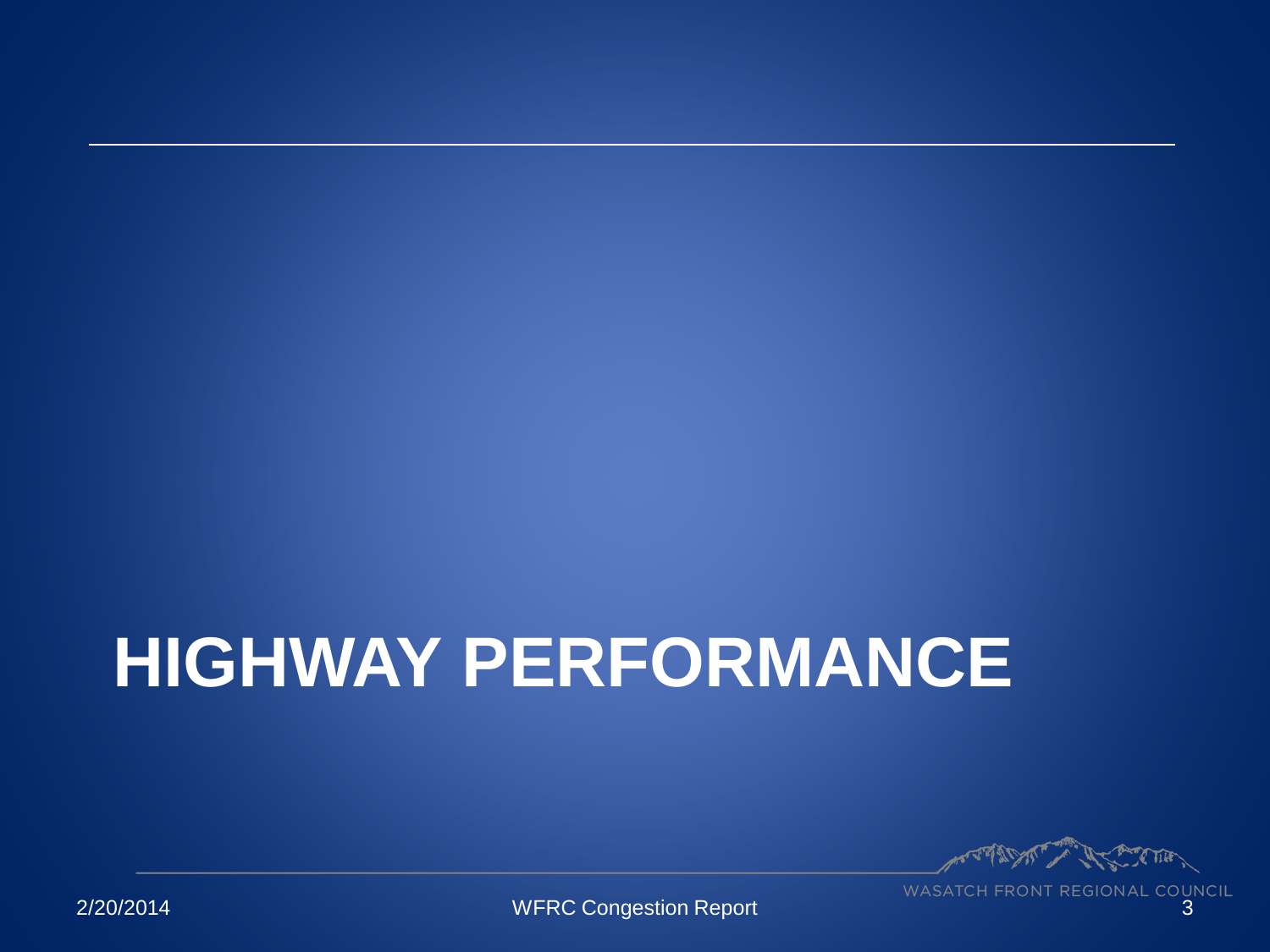# **HIGHWAY PERFORMANCE**

AS COME,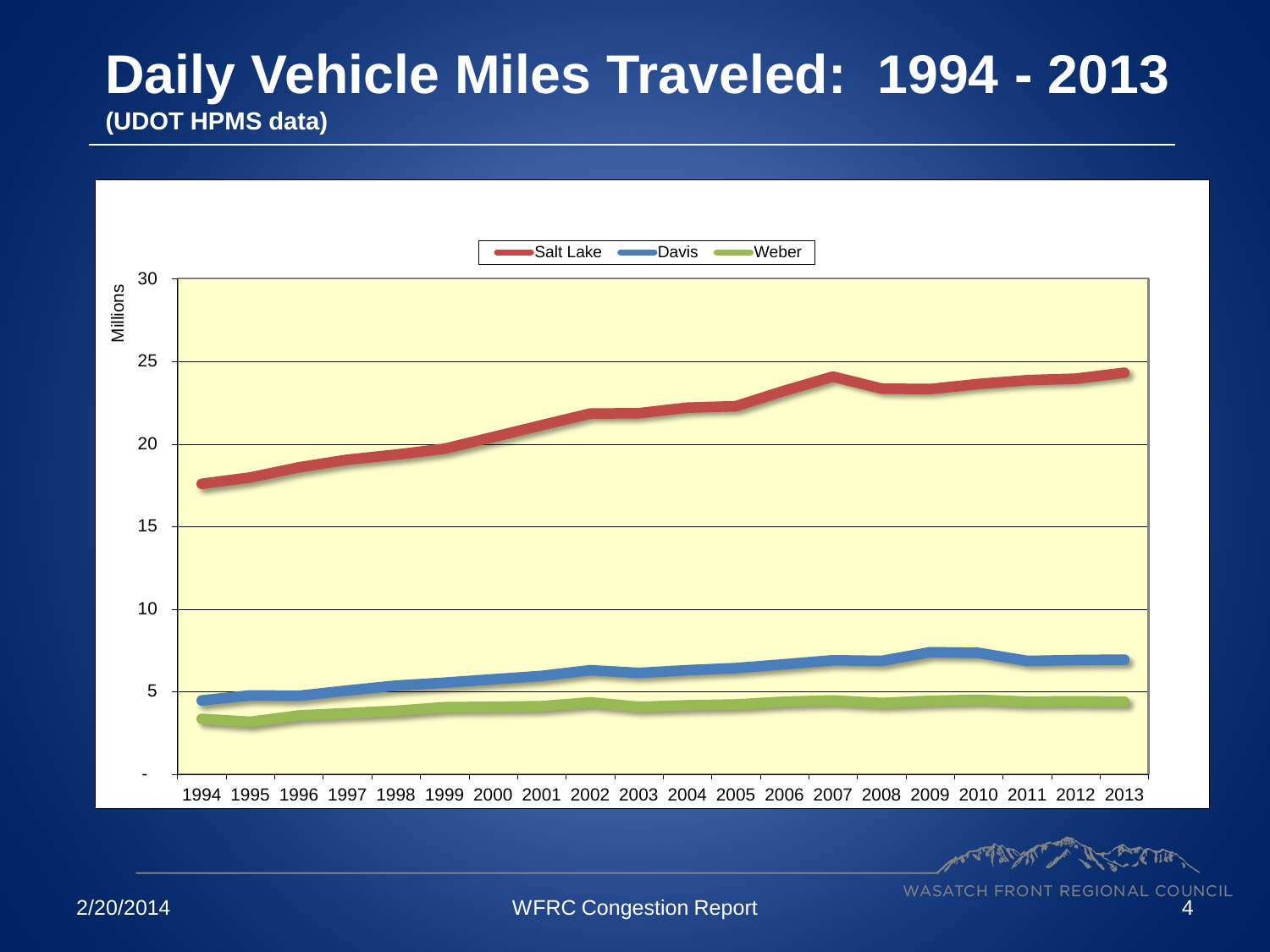#### **Daily Vehicle Miles Traveled: 1994 - 2013 (UDOT HPMS data)**

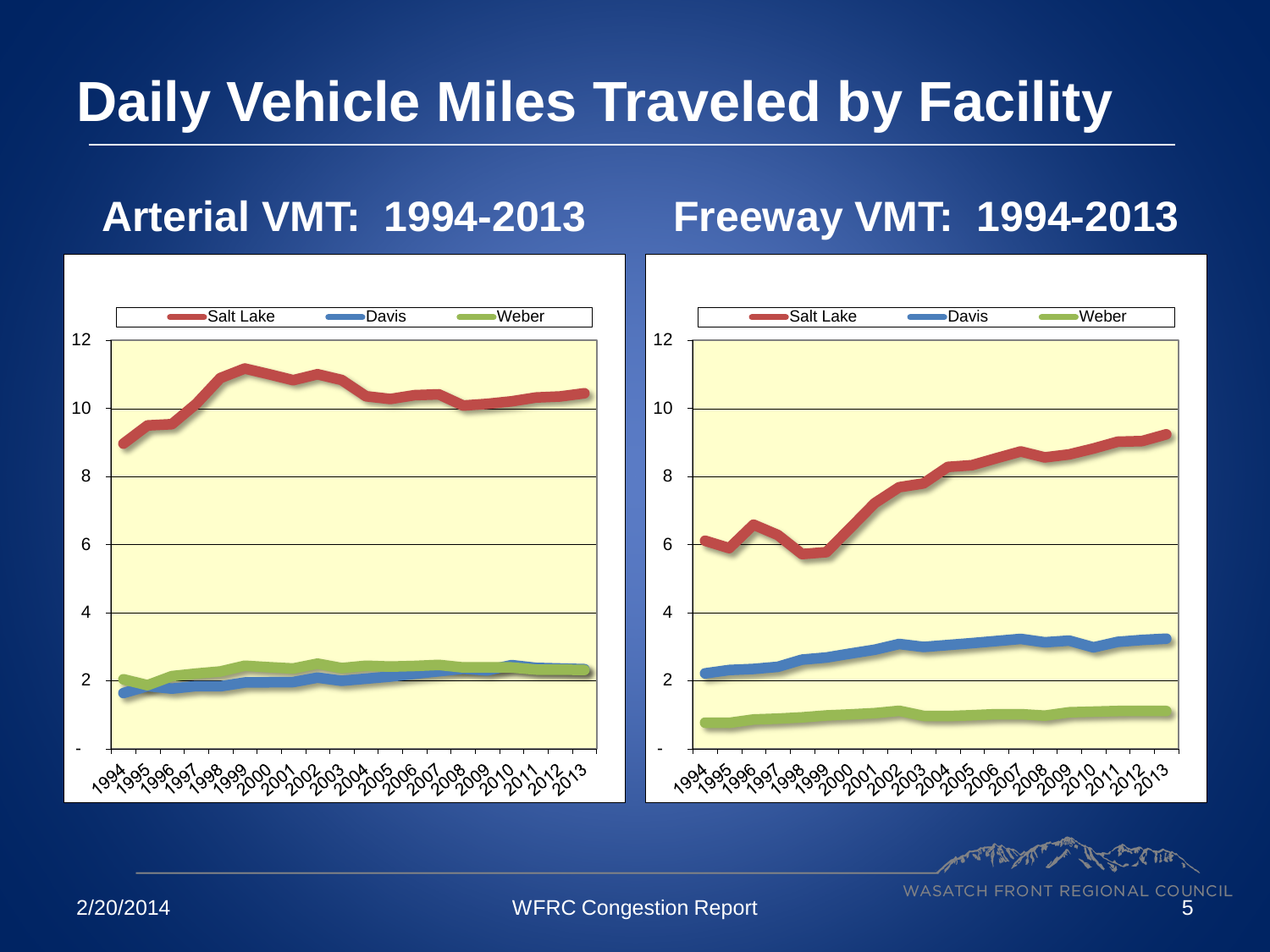# **Daily Vehicle Miles Traveled by Facility**

#### **Arterial VMT: 1994-2013 Freeway VMT: 1994-2013**



**PARTIE**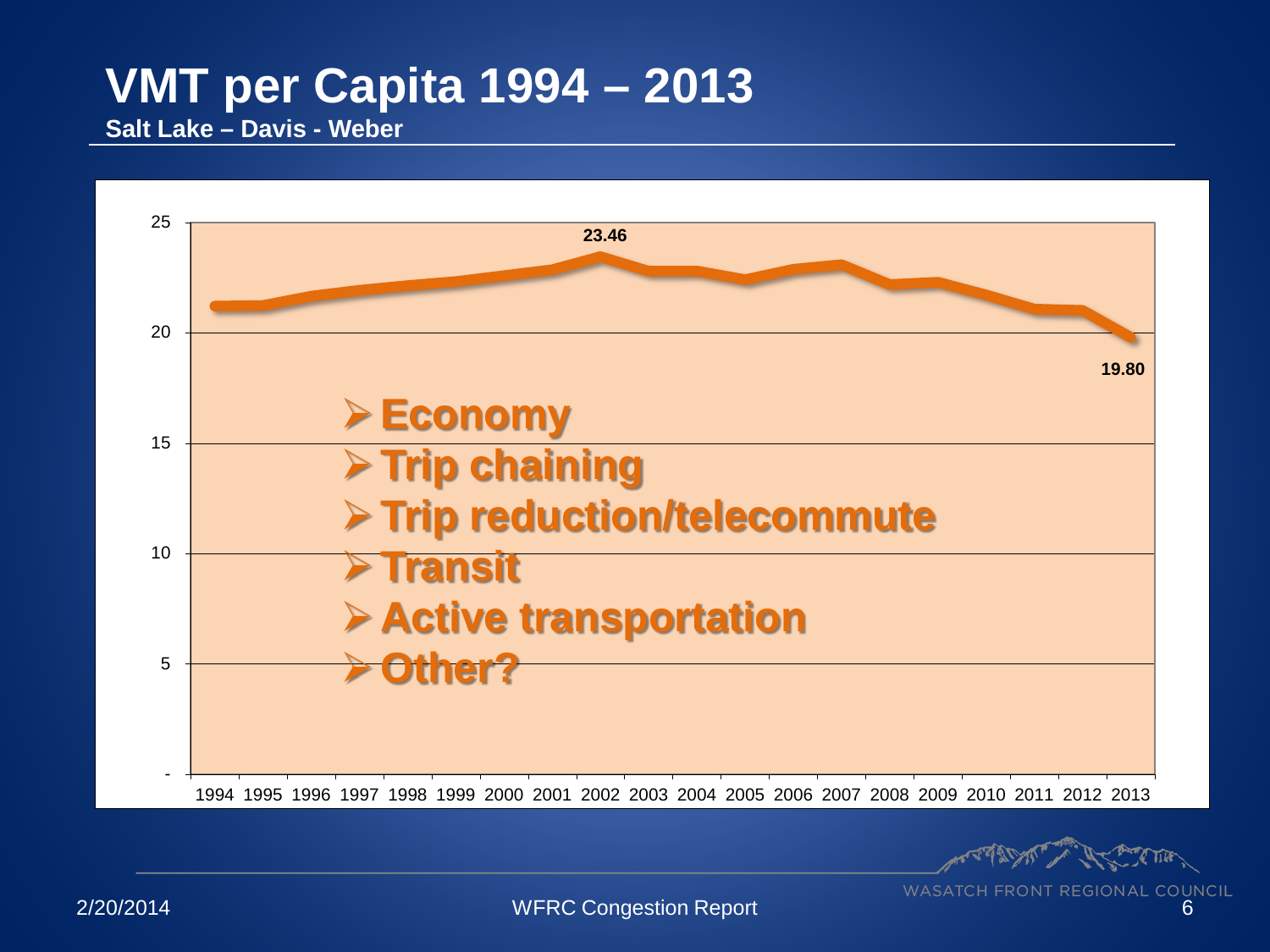## **VMT per Capita 1994 – 2013**

**Salt Lake – Davis - Weber**



Comparison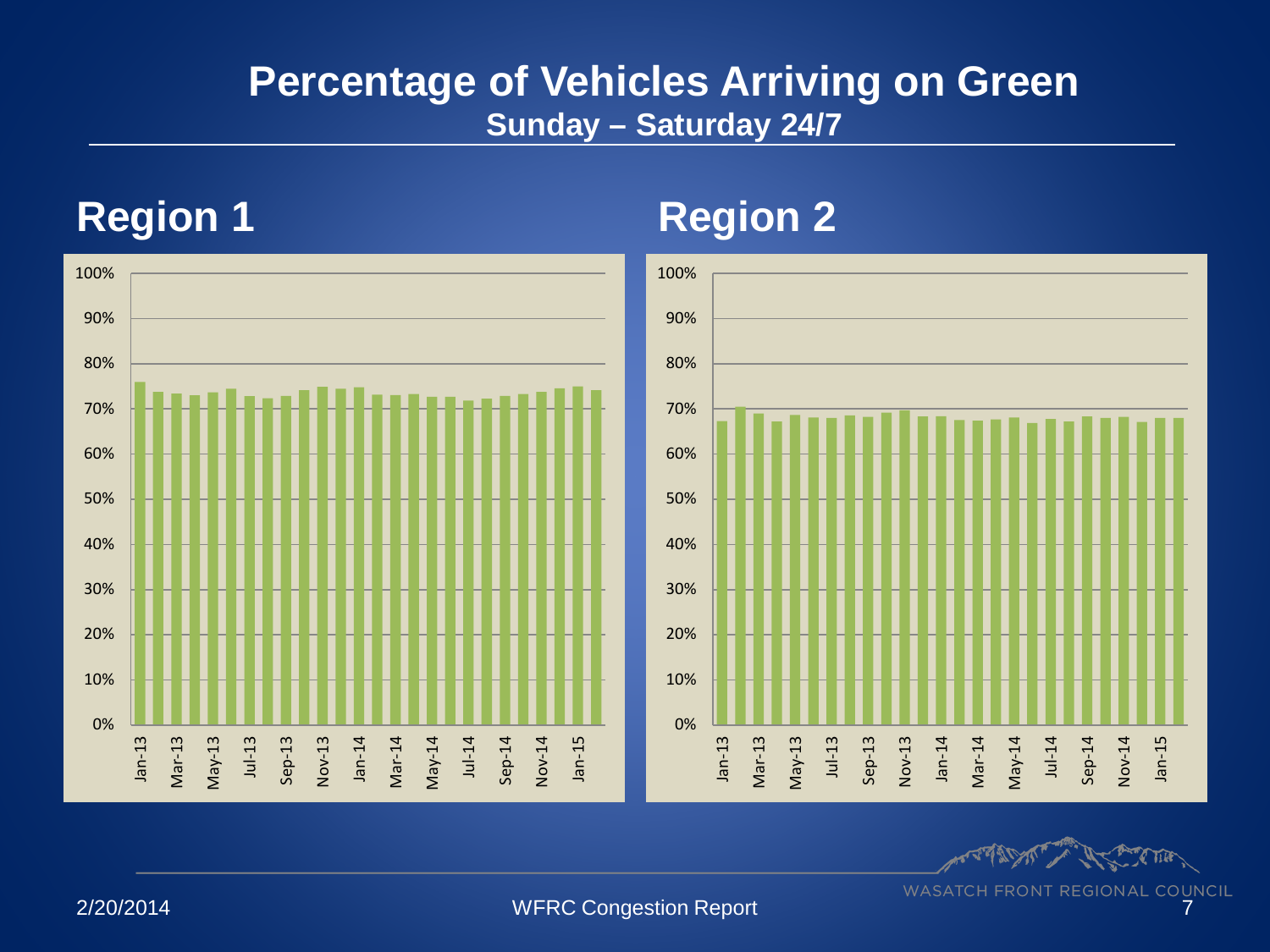#### **Percentage of Vehicles Arriving on Green Sunday – Saturday 24/7**

#### **Region 1 Region 2**



**Property**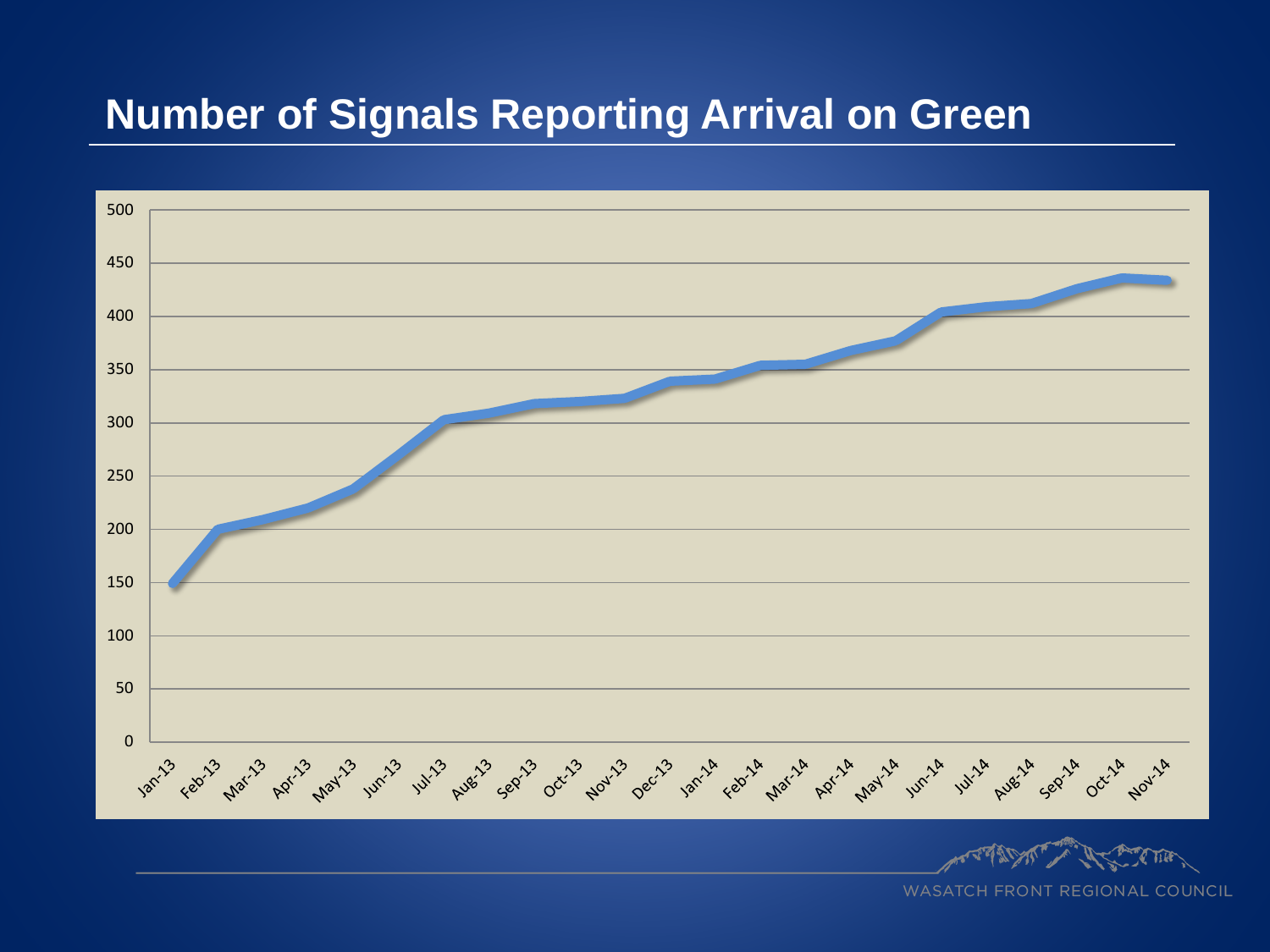#### **Number of Signals Reporting Arrival on Green**

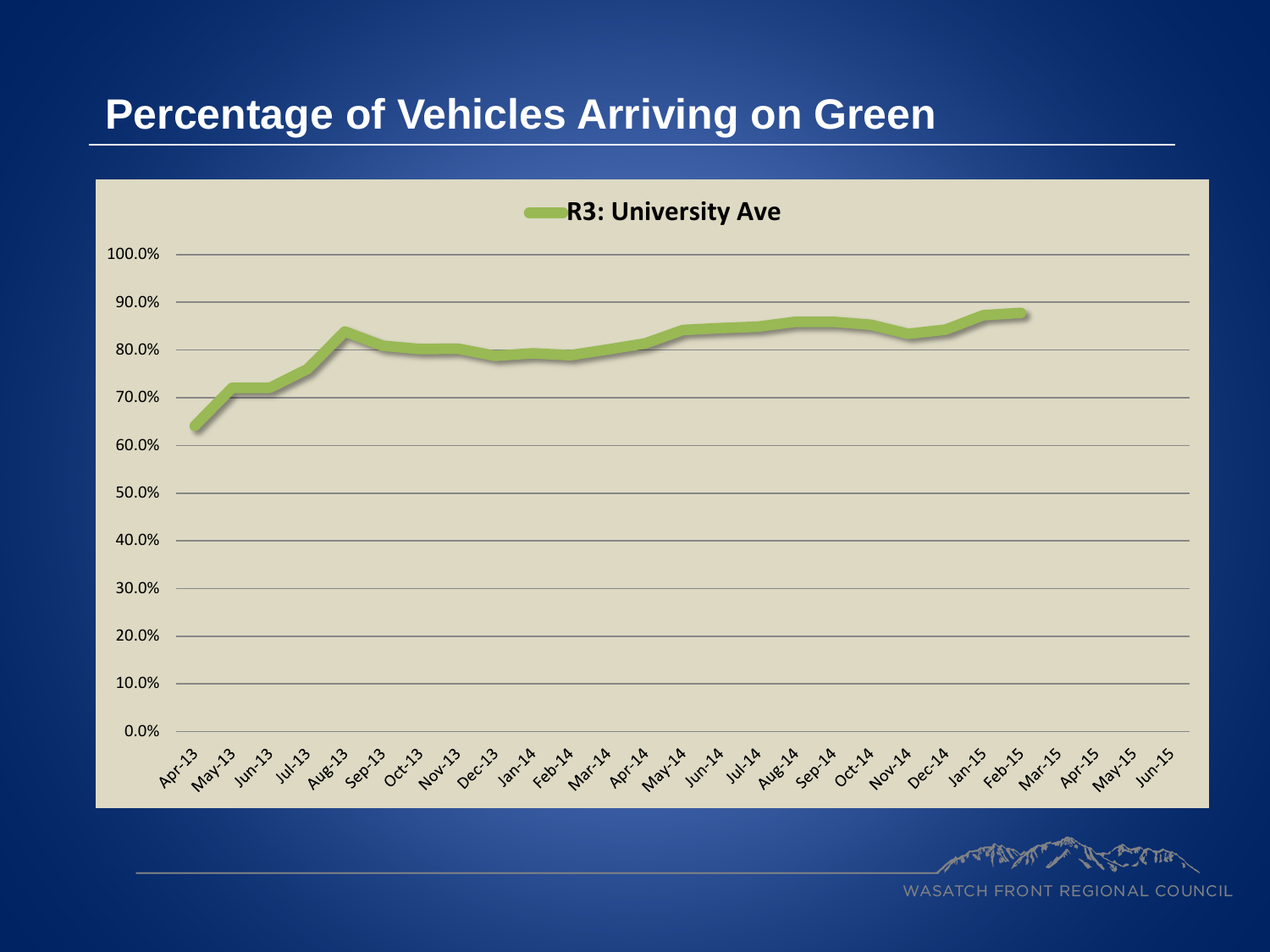#### **Percentage of Vehicles Arriving on Green**

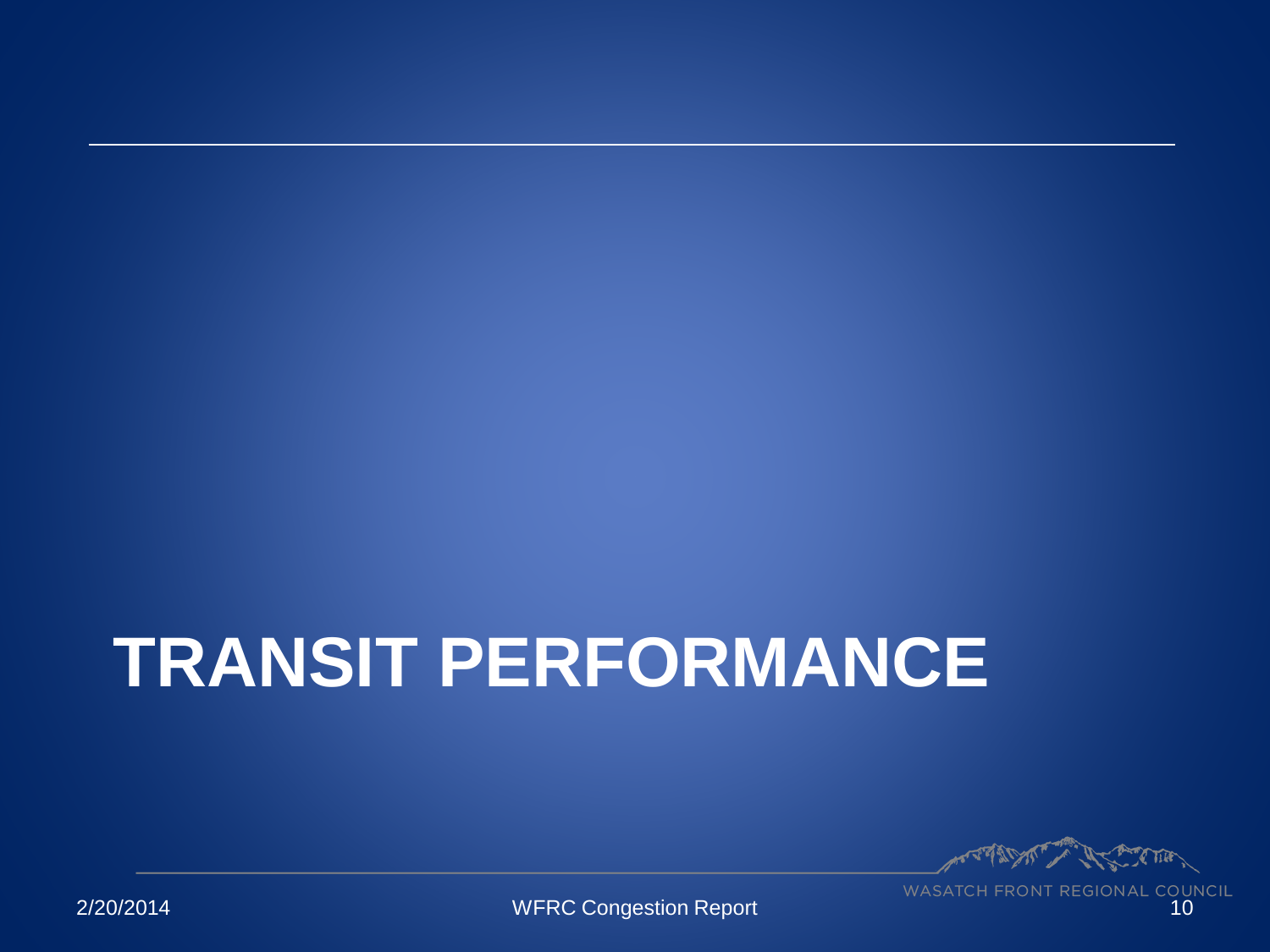# **TRANSIT PERFORMANCE**

A Charles Till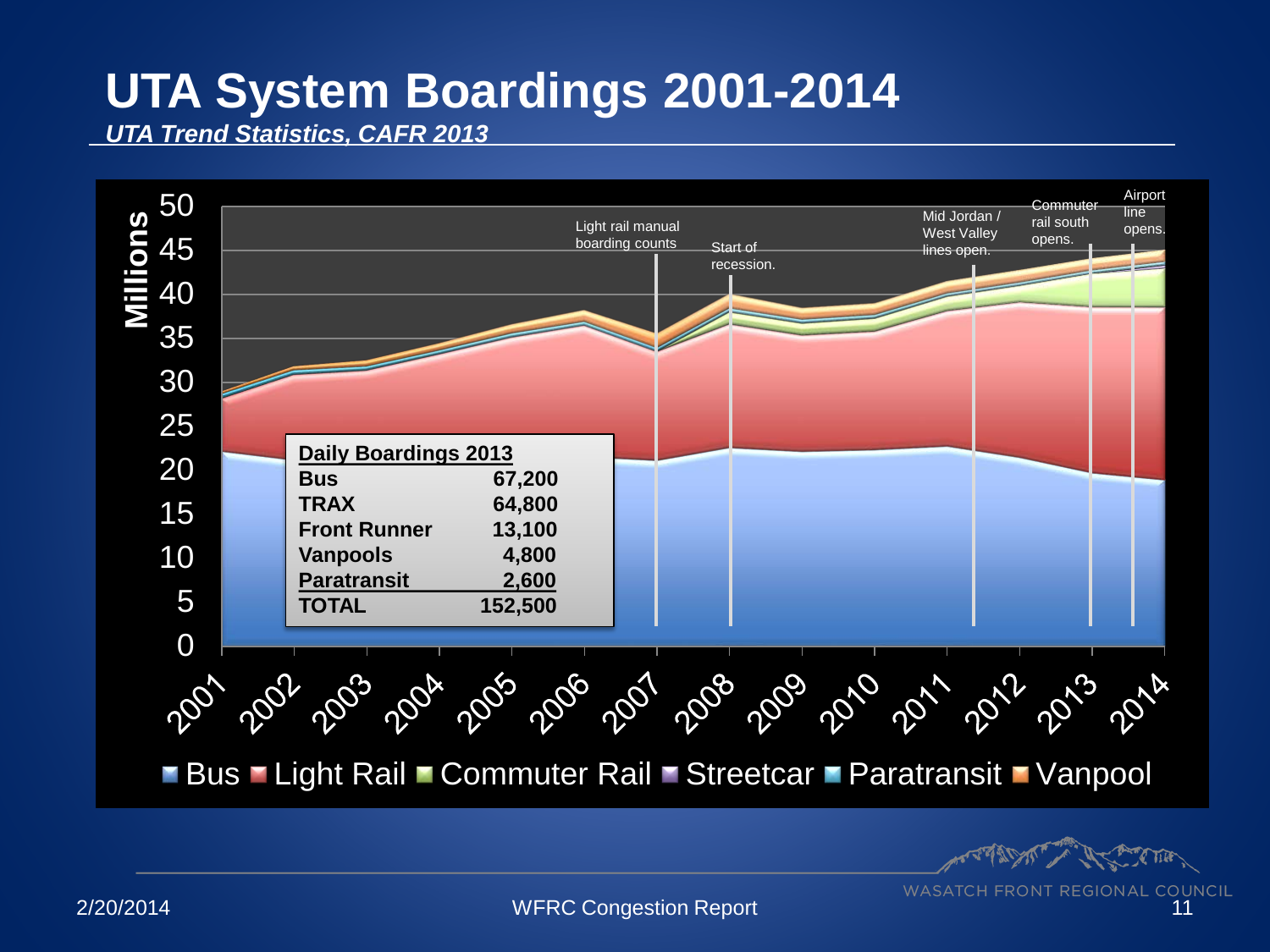## **UTA System Boardings 2001-2014**

*UTA Trend Statistics, CAFR 2013*



**CAMATION** 

**WASATCH FRONT REGIONAL COUNCIL** 2/20/2014 WFRC Congestion Report 11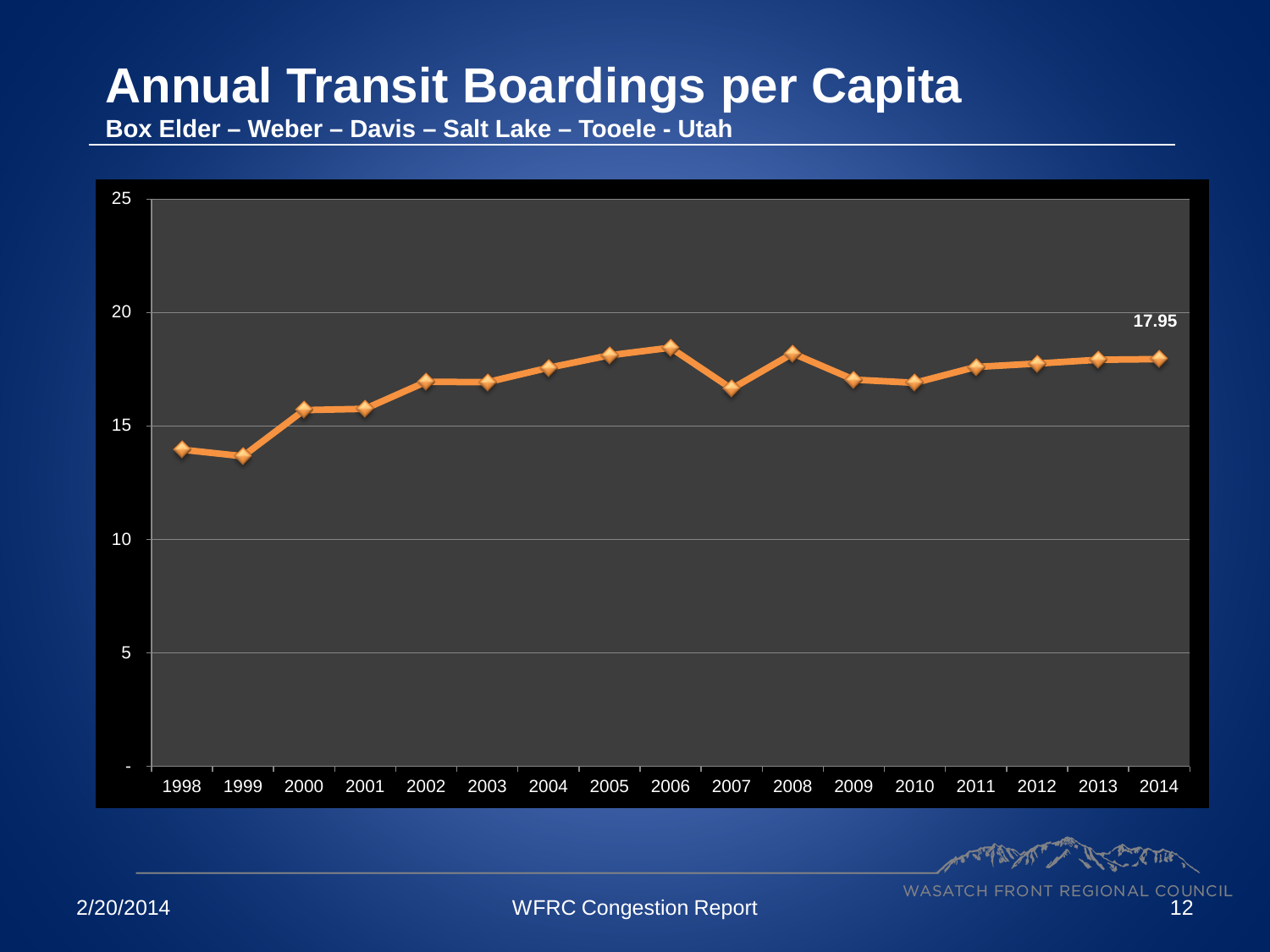## **Annual Transit Boardings per Capita**

**Box Elder – Weber – Davis – Salt Lake – Tooele - Utah**



**AMERICAN**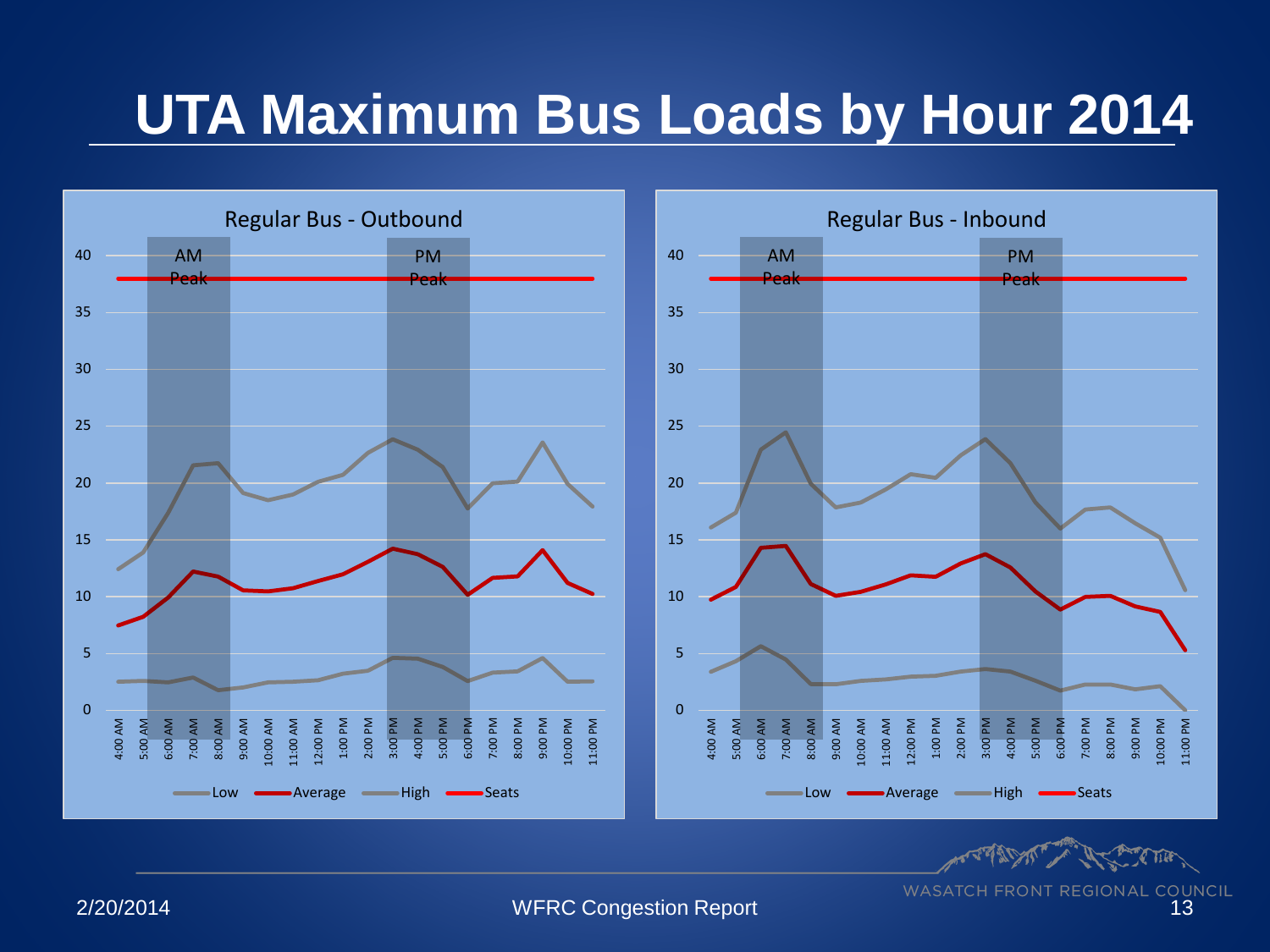## **UTA Maximum Bus Loads by Hour 2014**

![](_page_12_Figure_1.jpeg)

**PORTAL** 

**WASATCH FRONT REGIONAL COUNCIL** 

2/20/2014 WFRC Congestion Report 13

11:00 PM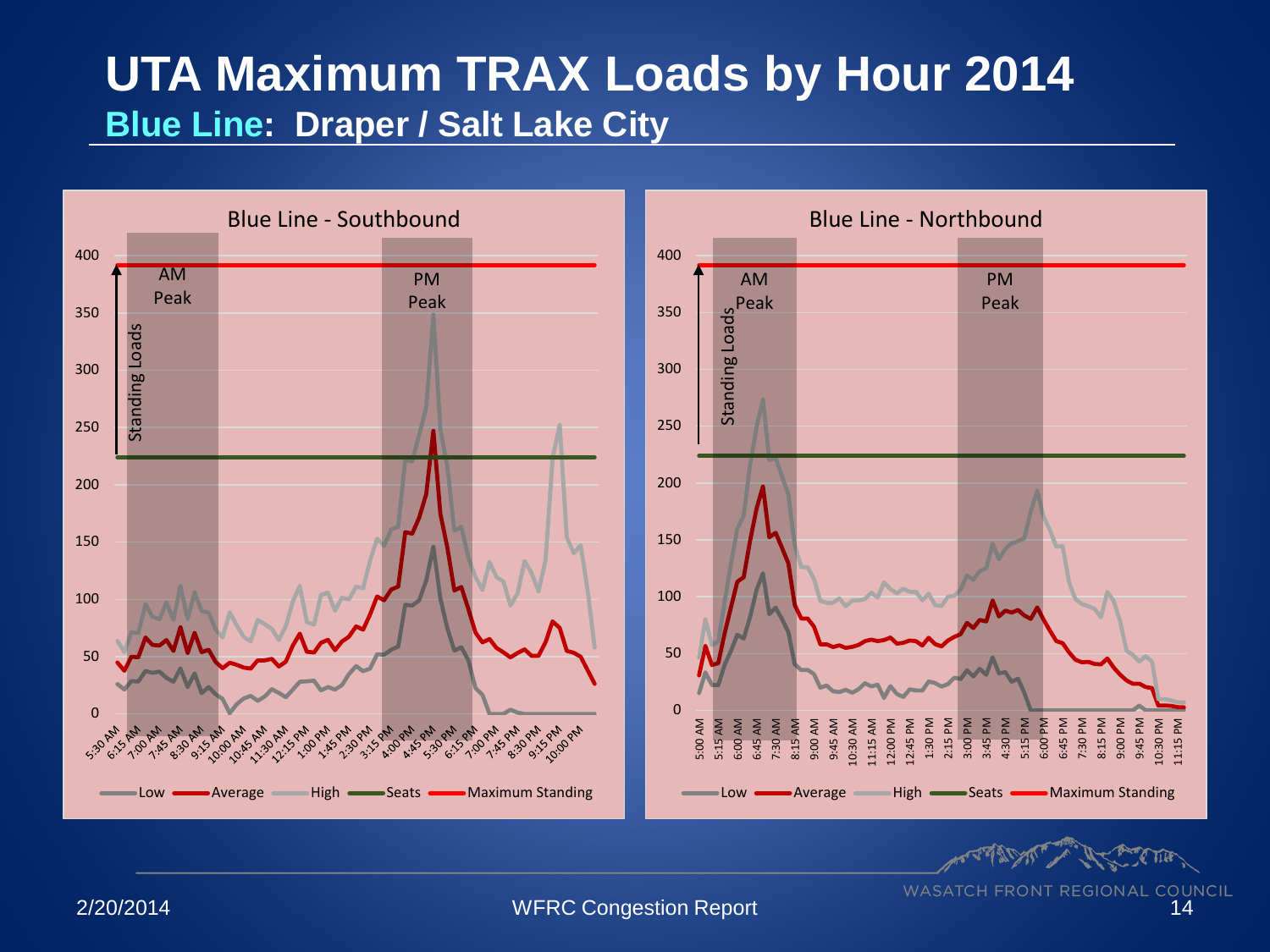### **UTA Maximum TRAX Loads by Hour 2014 Blue Line: Draper / Salt Lake City**

![](_page_13_Figure_1.jpeg)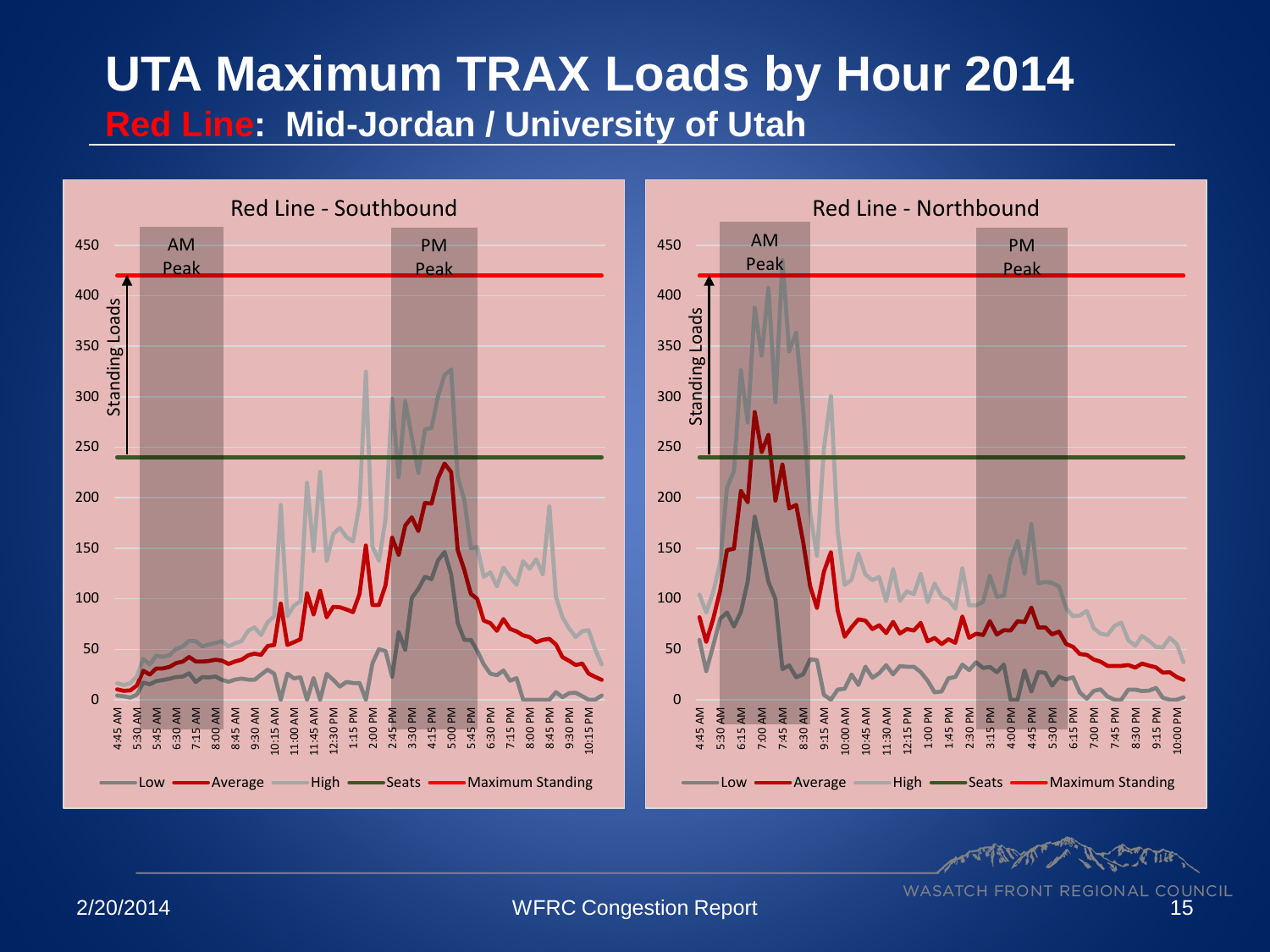### **UTA Maximum TRAX Loads by Hour 2014 Red Line: Mid-Jordan / University of Utah**

![](_page_14_Figure_1.jpeg)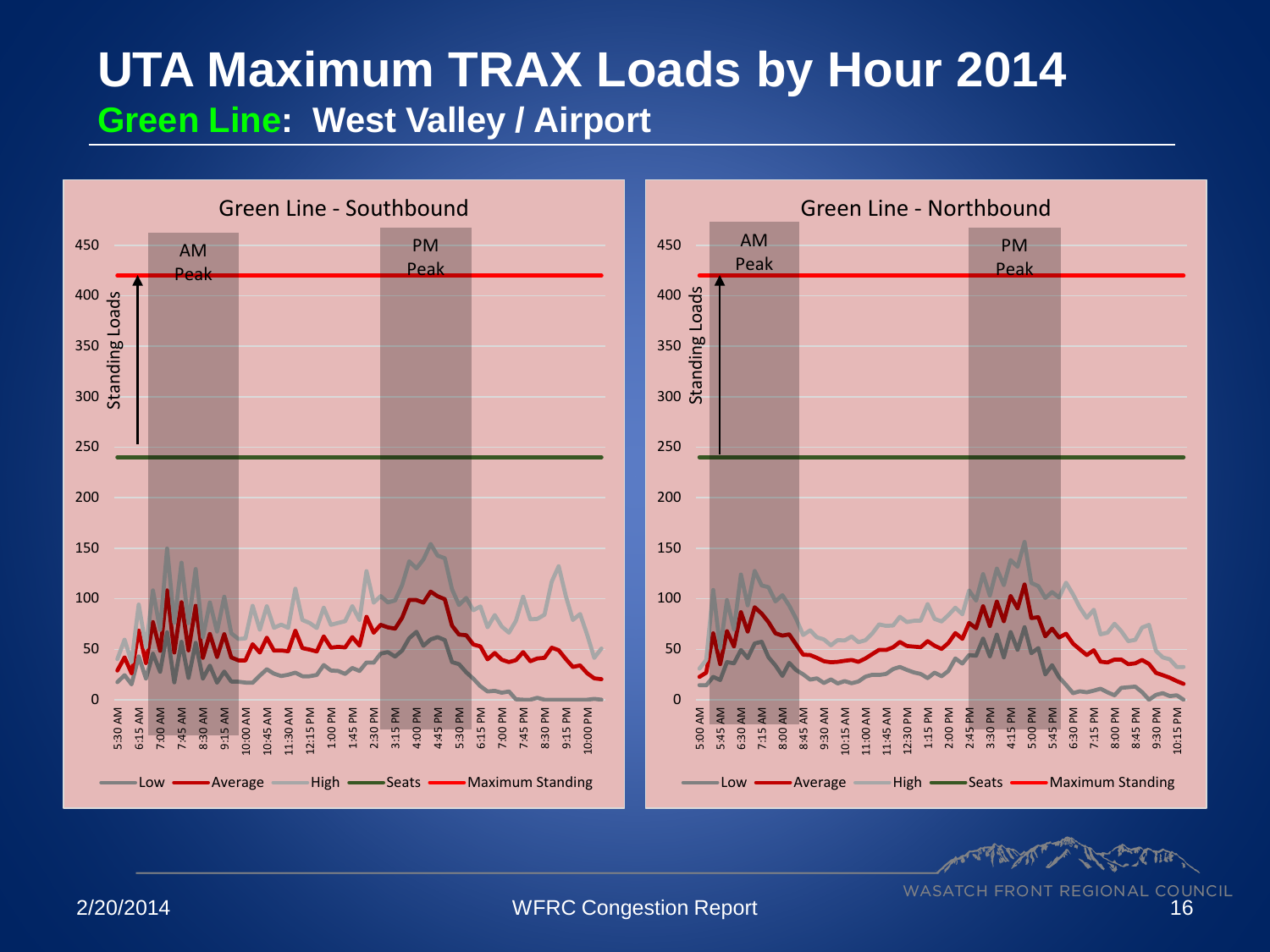### **UTA Maximum TRAX Loads by Hour 2014 Green Line: West Valley / Airport**

![](_page_15_Figure_1.jpeg)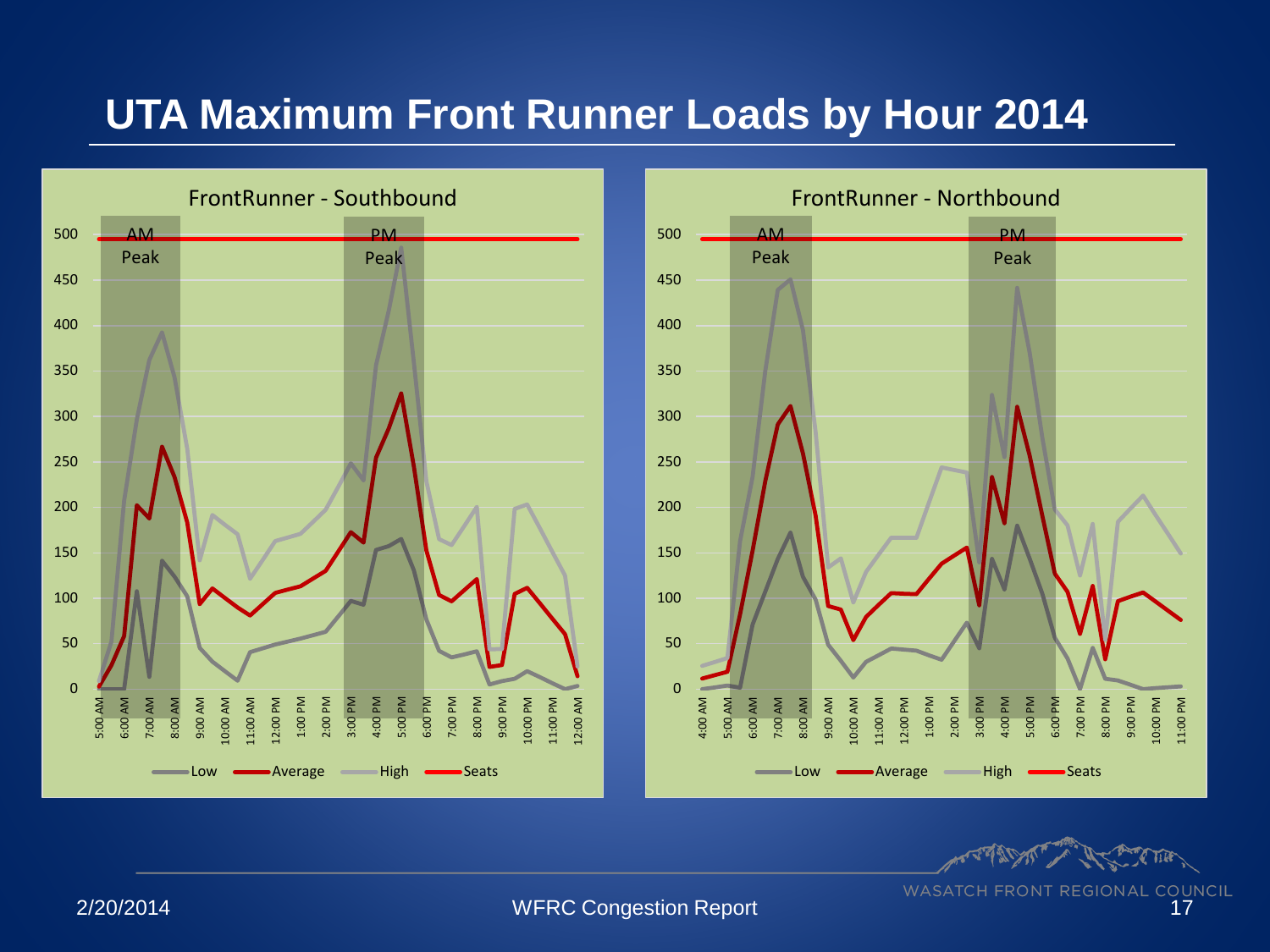#### **UTA Maximum Front Runner Loads by Hour 2014**

![](_page_16_Figure_1.jpeg)

![](_page_16_Figure_2.jpeg)

**PORTAL**